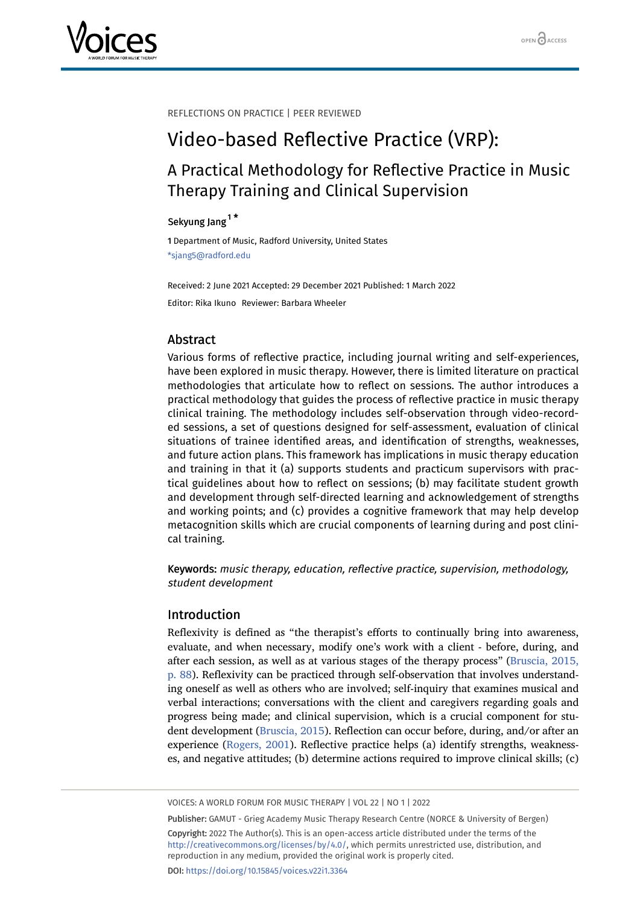

REFLECTIONS ON PRACTICE | PEER REVIEWED

# Video-based Reflective Practice (VRP):

# A Practical Methodology for Reflective Practice in Music Therapy Training and Clinical Supervision

## Sekyung Jang<sup>[1](#page-0-0)\*</sup>

<span id="page-0-0"></span>1 Department of Music, Radford University, United States \*sjang5@radford.edu

Received: 2 June 2021 Accepted: 29 December 2021 Published: 1 March 2022 Editor: Rika Ikuno Reviewer: Barbara Wheeler

## Abstract

Various forms of reflective practice, including journal writing and self-experiences, have been explored in music therapy. However, there is limited literature on practical methodologies that articulate how to reflect on sessions. The author introduces a practical methodology that guides the process of reflective practice in music therapy clinical training. The methodology includes self-observation through video-recorded sessions, a set of questions designed for self-assessment, evaluation of clinical situations of trainee identified areas, and identification of strengths, weaknesses, and future action plans. This framework has implications in music therapy education and training in that it (a) supports students and practicum supervisors with practical guidelines about how to reflect on sessions; (b) may facilitate student growth and development through self-directed learning and acknowledgement of strengths and working points; and (c) provides a cognitive framework that may help develop metacognition skills which are crucial components of learning during and post clinical training.

Keywords: music therapy, education, reflective practice, supervision, methodology, student development

#### Introduction

Reflexivity is defined as "the therapist's efforts to continually bring into awareness, evaluate, and when necessary, modify one's work with a client - before, during, and after each session, as well as at various stages of the therapy process" ([Bruscia, 2015,](#page-5-0) [p. 88\)](#page-5-0). Reflexivity can be practiced through self-observation that involves understanding oneself as well as others who are involved; self-inquiry that examines musical and verbal interactions; conversations with the client and caregivers regarding goals and progress being made; and clinical supervision, which is a crucial component for student development ([Bruscia, 2015](#page-5-0)). Reflection can occur before, during, and/or after an experience ([Rogers, 2001\)](#page-5-1). Reflective practice helps (a) identify strengths, weaknesses, and negative attitudes; (b) determine actions required to improve clinical skills; (c)

VOICES: A WORLD FORUM FOR MUSIC THERAPY | VOL 22 | NO 1 | 2022

Publisher: GAMUT - Grieg Academy Music Therapy Research Centre (NORCE & University of Bergen) Copyright: 2022 The Author(s). This is an open-access article distributed under the terms of the <http://creativecommons.org/licenses/by/4.0/>, which permits unrestricted use, distribution, and reproduction in any medium, provided the original work is properly cited. DOI: <https://doi.org/10.15845/voices.v22i1.3364>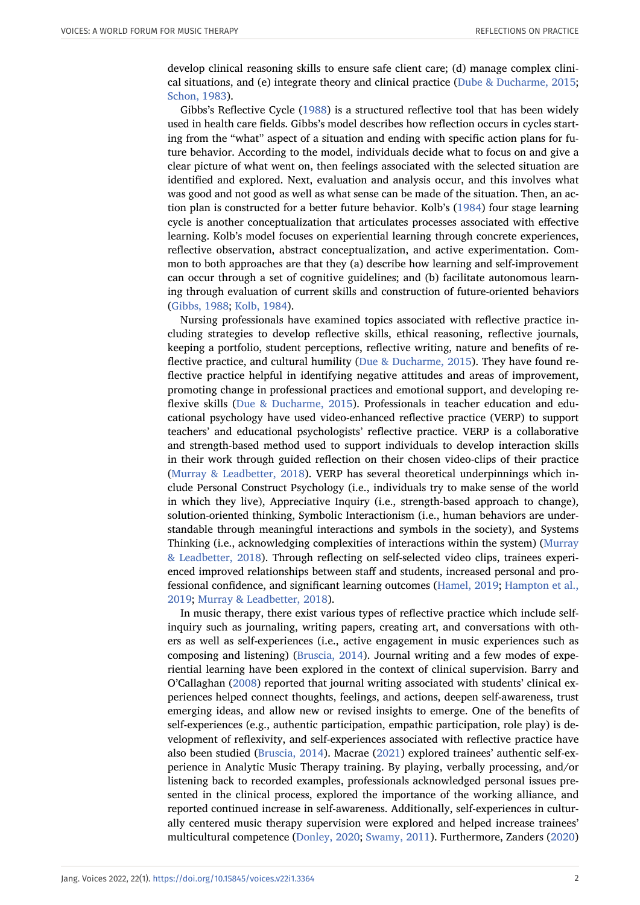develop clinical reasoning skills to ensure safe client care; (d) manage complex clinical situations, and (e) integrate theory and clinical practice ([Dube & Ducharme, 2015;](#page-5-2) [Schon, 1983\)](#page-5-3).

Gibbs's Reflective Cycle ([1988](#page-5-4)) is a structured reflective tool that has been widely used in health care fields. Gibbs's model describes how reflection occurs in cycles starting from the "what" aspect of a situation and ending with specific action plans for future behavior. According to the model, individuals decide what to focus on and give a clear picture of what went on, then feelings associated with the selected situation are identified and explored. Next, evaluation and analysis occur, and this involves what was good and not good as well as what sense can be made of the situation. Then, an action plan is constructed for a better future behavior. Kolb's [\(1984\)](#page-5-5) four stage learning cycle is another conceptualization that articulates processes associated with effective learning. Kolb's model focuses on experiential learning through concrete experiences, reflective observation, abstract conceptualization, and active experimentation. Common to both approaches are that they (a) describe how learning and self-improvement can occur through a set of cognitive guidelines; and (b) facilitate autonomous learning through evaluation of current skills and construction of future-oriented behaviors ([Gibbs, 1988;](#page-5-4) [Kolb, 1984](#page-5-5)).

Nursing professionals have examined topics associated with reflective practice including strategies to develop reflective skills, ethical reasoning, reflective journals, keeping a portfolio, student perceptions, reflective writing, nature and benefits of reflective practice, and cultural humility [\(Due & Ducharme, 2015\)](#page-5-2). They have found reflective practice helpful in identifying negative attitudes and areas of improvement, promoting change in professional practices and emotional support, and developing reflexive skills ([Due & Ducharme, 2015](#page-5-2)). Professionals in teacher education and educational psychology have used video-enhanced reflective practice (VERP) to support teachers' and educational psychologists' reflective practice. VERP is a collaborative and strength-based method used to support individuals to develop interaction skills in their work through guided reflection on their chosen video-clips of their practice ([Murray & Leadbetter, 2018\)](#page-5-6). VERP has several theoretical underpinnings which include Personal Construct Psychology (i.e., individuals try to make sense of the world in which they live), Appreciative Inquiry (i.e., strength-based approach to change), solution-oriented thinking, Symbolic Interactionism (i.e., human behaviors are understandable through meaningful interactions and symbols in the society), and Systems Thinking (i.e., acknowledging complexities of interactions within the system) ([Murray](#page-5-6) [& Leadbetter, 2018](#page-5-6)). Through reflecting on self-selected video clips, trainees experienced improved relationships between staff and students, increased personal and professional confidence, and significant learning outcomes ([Hamel, 2019](#page-5-7); [Hampton et al.,](#page-5-8) [2019](#page-5-8); [Murray & Leadbetter, 2018\)](#page-5-6).

In music therapy, there exist various types of reflective practice which include selfinquiry such as journaling, writing papers, creating art, and conversations with others as well as self-experiences (i.e., active engagement in music experiences such as composing and listening) ([Bruscia, 2014\)](#page-5-9). Journal writing and a few modes of experiential learning have been explored in the context of clinical supervision. Barry and O'Callaghan ([2008](#page-5-10)) reported that journal writing associated with students' clinical experiences helped connect thoughts, feelings, and actions, deepen self-awareness, trust emerging ideas, and allow new or revised insights to emerge. One of the benefits of self-experiences (e.g., authentic participation, empathic participation, role play) is development of reflexivity, and self-experiences associated with reflective practice have also been studied [\(Bruscia, 2014](#page-5-9)). Macrae [\(2021\)](#page-5-11) explored trainees' authentic self-experience in Analytic Music Therapy training. By playing, verbally processing, and/or listening back to recorded examples, professionals acknowledged personal issues presented in the clinical process, explored the importance of the working alliance, and reported continued increase in self-awareness. Additionally, self-experiences in culturally centered music therapy supervision were explored and helped increase trainees' multicultural competence ([Donley, 2020;](#page-5-12) [Swamy, 2011](#page-5-13)). Furthermore, Zanders [\(2020\)](#page-6-0)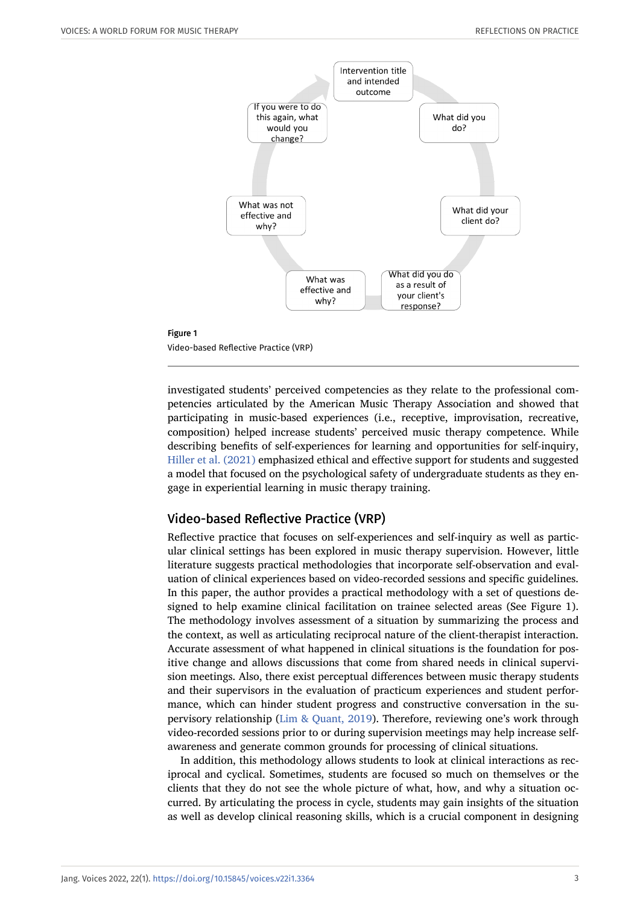

Video-based Reflective Practice (VRP)

Figure 1

investigated students' perceived competencies as they relate to the professional competencies articulated by the American Music Therapy Association and showed that participating in music-based experiences (i.e., receptive, improvisation, recreative, composition) helped increase students' perceived music therapy competence. While describing benefits of self-experiences for learning and opportunities for self-inquiry, [Hiller et al. \(2021\)](#page-5-14) emphasized ethical and effective support for students and suggested a model that focused on the psychological safety of undergraduate students as they engage in experiential learning in music therapy training.

#### Video-based Reflective Practice (VRP)

Reflective practice that focuses on self-experiences and self-inquiry as well as particular clinical settings has been explored in music therapy supervision. However, little literature suggests practical methodologies that incorporate self-observation and evaluation of clinical experiences based on video-recorded sessions and specific guidelines. In this paper, the author provides a practical methodology with a set of questions designed to help examine clinical facilitation on trainee selected areas (See Figure 1). The methodology involves assessment of a situation by summarizing the process and the context, as well as articulating reciprocal nature of the client-therapist interaction. Accurate assessment of what happened in clinical situations is the foundation for positive change and allows discussions that come from shared needs in clinical supervision meetings. Also, there exist perceptual differences between music therapy students and their supervisors in the evaluation of practicum experiences and student performance, which can hinder student progress and constructive conversation in the supervisory relationship [\(Lim & Quant, 2019](#page-5-15)). Therefore, reviewing one's work through video-recorded sessions prior to or during supervision meetings may help increase selfawareness and generate common grounds for processing of clinical situations.

In addition, this methodology allows students to look at clinical interactions as reciprocal and cyclical. Sometimes, students are focused so much on themselves or the clients that they do not see the whole picture of what, how, and why a situation occurred. By articulating the process in cycle, students may gain insights of the situation as well as develop clinical reasoning skills, which is a crucial component in designing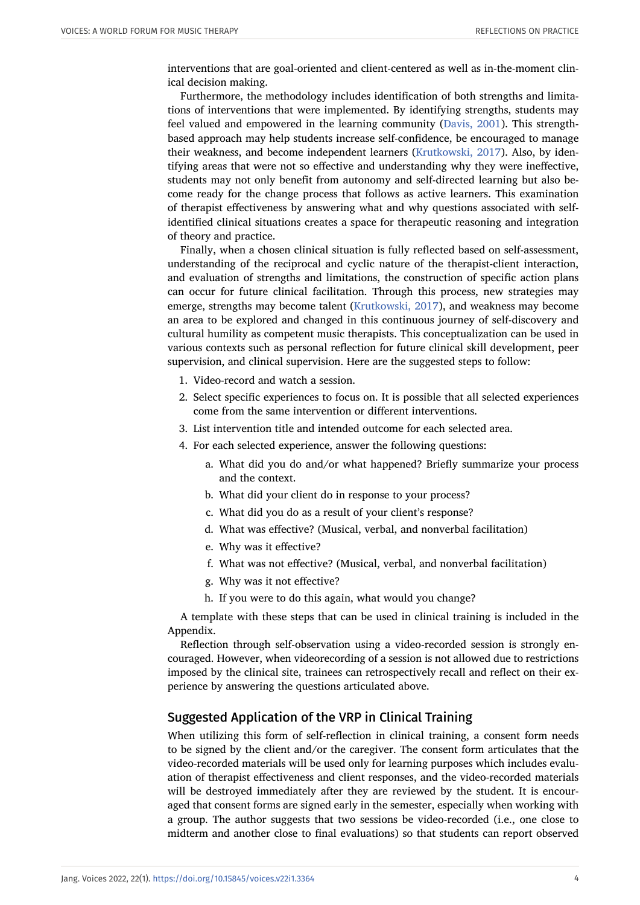interventions that are goal-oriented and client-centered as well as in-the-moment clinical decision making.

Furthermore, the methodology includes identification of both strengths and limitations of interventions that were implemented. By identifying strengths, students may feel valued and empowered in the learning community ([Davis, 2001](#page-5-16)). This strengthbased approach may help students increase self-confidence, be encouraged to manage their weakness, and become independent learners [\(Krutkowski, 2017](#page-5-17)). Also, by identifying areas that were not so effective and understanding why they were ineffective, students may not only benefit from autonomy and self-directed learning but also become ready for the change process that follows as active learners. This examination of therapist effectiveness by answering what and why questions associated with selfidentified clinical situations creates a space for therapeutic reasoning and integration of theory and practice.

Finally, when a chosen clinical situation is fully reflected based on self-assessment, understanding of the reciprocal and cyclic nature of the therapist-client interaction, and evaluation of strengths and limitations, the construction of specific action plans can occur for future clinical facilitation. Through this process, new strategies may emerge, strengths may become talent [\(Krutkowski, 2017](#page-5-17)), and weakness may become an area to be explored and changed in this continuous journey of self-discovery and cultural humility as competent music therapists. This conceptualization can be used in various contexts such as personal reflection for future clinical skill development, peer supervision, and clinical supervision. Here are the suggested steps to follow:

- 1. Video-record and watch a session.
- 2. Select specific experiences to focus on. It is possible that all selected experiences come from the same intervention or different interventions.
- 3. List intervention title and intended outcome for each selected area.
- 4. For each selected experience, answer the following questions:
	- a. What did you do and/or what happened? Briefly summarize your process and the context.
	- b. What did your client do in response to your process?
	- c. What did you do as a result of your client's response?
	- d. What was effective? (Musical, verbal, and nonverbal facilitation)
	- e. Why was it effective?
	- f. What was not effective? (Musical, verbal, and nonverbal facilitation)
	- g. Why was it not effective?
	- h. If you were to do this again, what would you change?

A template with these steps that can be used in clinical training is included in the Appendix.

Reflection through self-observation using a video-recorded session is strongly encouraged. However, when videorecording of a session is not allowed due to restrictions imposed by the clinical site, trainees can retrospectively recall and reflect on their experience by answering the questions articulated above.

#### Suggested Application of the VRP in Clinical Training

When utilizing this form of self-reflection in clinical training, a consent form needs to be signed by the client and/or the caregiver. The consent form articulates that the video-recorded materials will be used only for learning purposes which includes evaluation of therapist effectiveness and client responses, and the video-recorded materials will be destroyed immediately after they are reviewed by the student. It is encouraged that consent forms are signed early in the semester, especially when working with a group. The author suggests that two sessions be video-recorded (i.e., one close to midterm and another close to final evaluations) so that students can report observed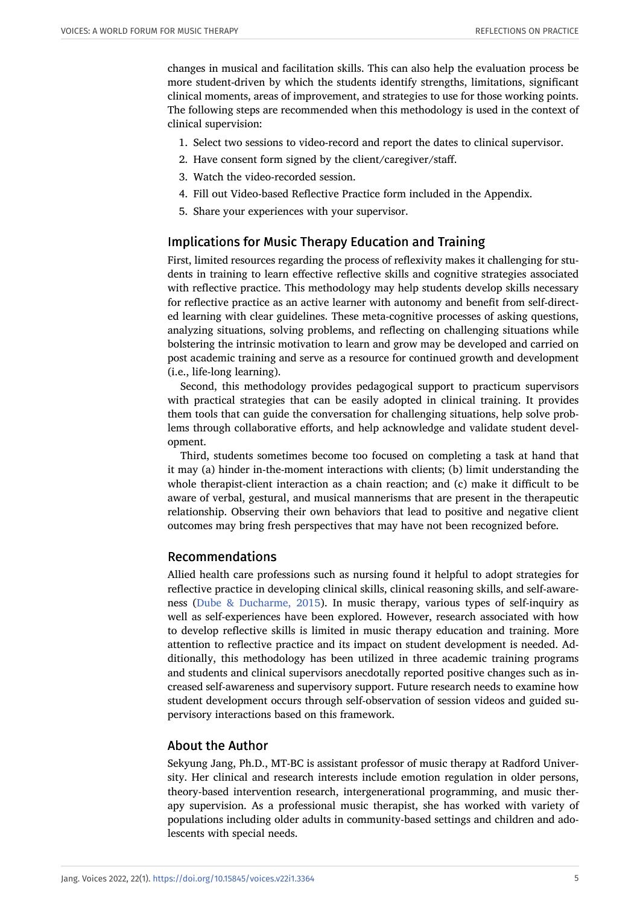changes in musical and facilitation skills. This can also help the evaluation process be more student-driven by which the students identify strengths, limitations, significant clinical moments, areas of improvement, and strategies to use for those working points. The following steps are recommended when this methodology is used in the context of clinical supervision:

- 1. Select two sessions to video-record and report the dates to clinical supervisor.
- 2. Have consent form signed by the client/caregiver/staff.
- 3. Watch the video-recorded session.
- 4. Fill out Video-based Reflective Practice form included in the Appendix.
- 5. Share your experiences with your supervisor.

#### Implications for Music Therapy Education and Training

First, limited resources regarding the process of reflexivity makes it challenging for students in training to learn effective reflective skills and cognitive strategies associated with reflective practice. This methodology may help students develop skills necessary for reflective practice as an active learner with autonomy and benefit from self-directed learning with clear guidelines. These meta-cognitive processes of asking questions, analyzing situations, solving problems, and reflecting on challenging situations while bolstering the intrinsic motivation to learn and grow may be developed and carried on post academic training and serve as a resource for continued growth and development (i.e., life-long learning).

Second, this methodology provides pedagogical support to practicum supervisors with practical strategies that can be easily adopted in clinical training. It provides them tools that can guide the conversation for challenging situations, help solve problems through collaborative efforts, and help acknowledge and validate student development.

Third, students sometimes become too focused on completing a task at hand that it may (a) hinder in-the-moment interactions with clients; (b) limit understanding the whole therapist-client interaction as a chain reaction; and (c) make it difficult to be aware of verbal, gestural, and musical mannerisms that are present in the therapeutic relationship. Observing their own behaviors that lead to positive and negative client outcomes may bring fresh perspectives that may have not been recognized before.

#### Recommendations

Allied health care professions such as nursing found it helpful to adopt strategies for reflective practice in developing clinical skills, clinical reasoning skills, and self-awareness ([Dube & Ducharme, 2015](#page-5-2)). In music therapy, various types of self-inquiry as well as self-experiences have been explored. However, research associated with how to develop reflective skills is limited in music therapy education and training. More attention to reflective practice and its impact on student development is needed. Additionally, this methodology has been utilized in three academic training programs and students and clinical supervisors anecdotally reported positive changes such as increased self-awareness and supervisory support. Future research needs to examine how student development occurs through self-observation of session videos and guided supervisory interactions based on this framework.

#### About the Author

Sekyung Jang, Ph.D., MT-BC is assistant professor of music therapy at Radford University. Her clinical and research interests include emotion regulation in older persons, theory-based intervention research, intergenerational programming, and music therapy supervision. As a professional music therapist, she has worked with variety of populations including older adults in community-based settings and children and adolescents with special needs.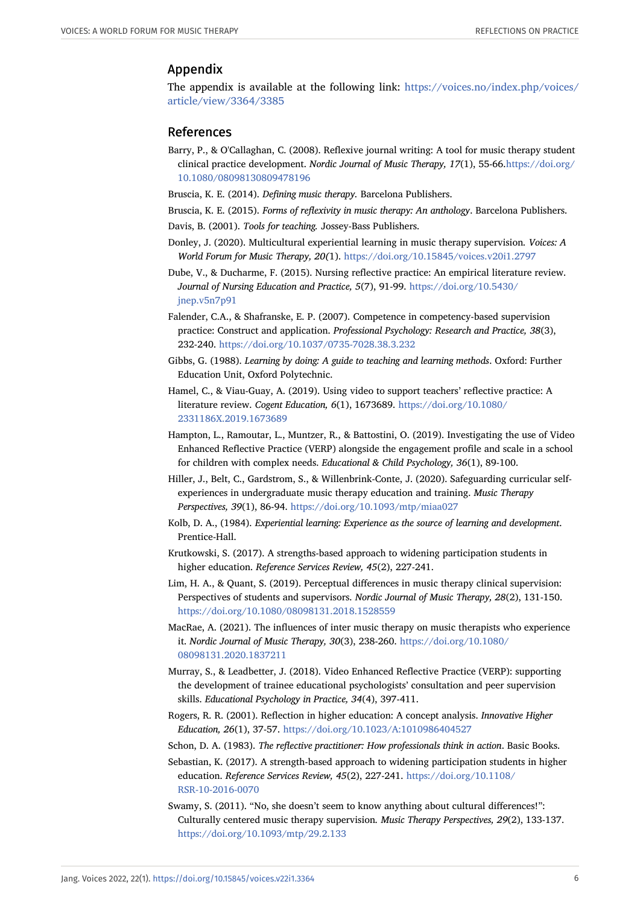## Appendix

The appendix is available at the following link: [https://voices.no/index.php/voices/](https://voices.no/index.php/voices/article/view/3364/3385) [article/view/3364/3385](https://voices.no/index.php/voices/article/view/3364/3385)

#### <span id="page-5-10"></span>References

- Barry, P., & O'Callaghan, C. (2008). Reflexive journal writing: A tool for music therapy student clinical practice development. *Nordic Journal of Music Therapy, 17*(1), 55-66.[https://doi.org/](https://doi.org/10.1080/08098130809478196) [10.1080/08098130809478196](https://doi.org/10.1080/08098130809478196)
- <span id="page-5-9"></span><span id="page-5-0"></span>Bruscia, K. E. (2014). *Defining music therapy.* Barcelona Publishers.
- Bruscia, K. E. (2015). *Forms of reflexivity in music therapy: An anthology*. Barcelona Publishers.
- <span id="page-5-16"></span>Davis, B. (2001). *Tools for teaching.* Jossey-Bass Publishers.
- <span id="page-5-12"></span>Donley, J. (2020). Multicultural experiential learning in music therapy supervision*. Voices: A World Forum for Music Therapy, 20(*1). <https://doi.org/10.15845/voices.v20i1.2797>
- <span id="page-5-2"></span>Dube, V., & Ducharme, F. (2015). Nursing reflective practice: An empirical literature review. *Journal of Nursing Education and Practice, 5*(7), 91-99. [https://doi.org/10.5430/](https://doi.org/10.5430/jnep.v5n7p91) [jnep.v5n7p91](https://doi.org/10.5430/jnep.v5n7p91)
- Falender, C.A., & Shafranske, E. P. (2007). Competence in competency-based supervision practice: Construct and application. *Professional Psychology: Research and Practice, 38*(3), 232-240. <https://doi.org/10.1037/0735-7028.38.3.232>
- <span id="page-5-4"></span>Gibbs, G. (1988). *Learning by doing: A guide to teaching and learning methods*. Oxford: Further Education Unit, Oxford Polytechnic.
- <span id="page-5-7"></span>Hamel, C., & Viau-Guay, A. (2019). Using video to support teachers' reflective practice: A literature review. *Cogent Education, 6*(1), 1673689. [https://doi.org/10.1080/](https://doi.org/10.1080/2331186X.2019.1673689) [2331186X.2019.1673689](https://doi.org/10.1080/2331186X.2019.1673689)
- <span id="page-5-8"></span>Hampton, L., Ramoutar, L., Muntzer, R., & Battostini, O. (2019). Investigating the use of Video Enhanced Reflective Practice (VERP) alongside the engagement profile and scale in a school for children with complex needs. *Educational & Child Psychology, 36*(1), 89-100.
- <span id="page-5-14"></span>Hiller, J., Belt, C., Gardstrom, S., & Willenbrink-Conte, J. (2020). Safeguarding curricular selfexperiences in undergraduate music therapy education and training. *Music Therapy Perspectives, 39*(1), 86-94. <https://doi.org/10.1093/mtp/miaa027>
- <span id="page-5-5"></span>Kolb, D. A., (1984). *Experiential learning: Experience as the source of learning and development*. Prentice-Hall.
- <span id="page-5-17"></span>Krutkowski, S. (2017). A strengths-based approach to widening participation students in higher education. *Reference Services Review, 45*(2), 227-241.
- <span id="page-5-15"></span>Lim, H. A., & Quant, S. (2019). Perceptual differences in music therapy clinical supervision: Perspectives of students and supervisors. *Nordic Journal of Music Therapy, 28*(2), 131-150. <https://doi.org/10.1080/08098131.2018.1528559>
- <span id="page-5-11"></span>MacRae, A. (2021). The influences of inter music therapy on music therapists who experience it. *Nordic Journal of Music Therapy, 30*(3), 238-260. [https://doi.org/10.1080/](https://doi.org/10.1080/08098131.2020.1837211) [08098131.2020.1837211](https://doi.org/10.1080/08098131.2020.1837211)
- <span id="page-5-6"></span>Murray, S., & Leadbetter, J. (2018). Video Enhanced Reflective Practice (VERP): supporting the development of trainee educational psychologists' consultation and peer supervision skills. *Educational Psychology in Practice, 34*(4), 397-411.
- <span id="page-5-1"></span>Rogers, R. R. (2001). Reflection in higher education: A concept analysis. *Innovative Higher Education, 26*(1), 37-57. <https://doi.org/10.1023/A:1010986404527>
- <span id="page-5-3"></span>Schon, D. A. (1983). *The reflective practitioner: How professionals think in action*. Basic Books.
- Sebastian, K. (2017). A strength-based approach to widening participation students in higher education. *Reference Services Review, 45*(2), 227-241. [https://doi.org/10.1108/](https://doi.org/10.1108/RSR-10-2016-0070) [RSR-10-2016-0070](https://doi.org/10.1108/RSR-10-2016-0070)
- <span id="page-5-13"></span>Swamy, S. (2011). "No, she doesn't seem to know anything about cultural differences!": Culturally centered music therapy supervision*. Music Therapy Perspectives, 29*(2), 133-137. <https://doi.org/10.1093/mtp/29.2.133>